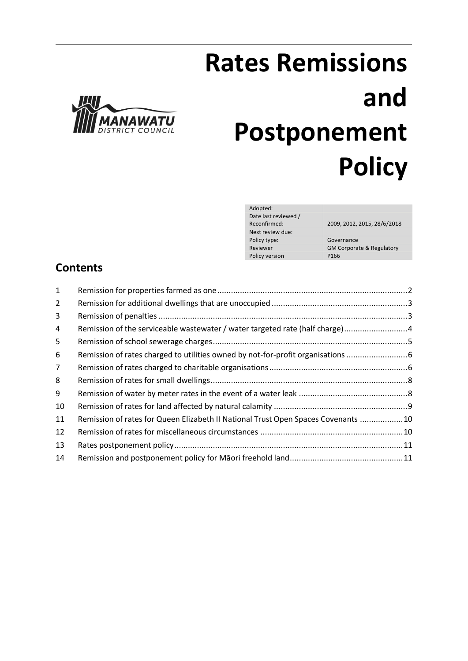

# **Rates Remissions and Postponement Policy**

| Adopted:             |                                      |
|----------------------|--------------------------------------|
| Date last reviewed / |                                      |
| Reconfirmed:         | 2009, 2012, 2015, 28/6/2018          |
| Next review due:     |                                      |
| Policy type:         | Governance                           |
| Reviewer             | <b>GM Corporate &amp; Regulatory</b> |
| Policy version       | P166                                 |
|                      |                                      |

# **Contents**

| Remission of the serviceable wastewater / water targeted rate (half charge)4<br>Remission of rates charged to utilities owned by not-for-profit organisations<br>Remission of rates for Queen Elizabeth II National Trust Open Spaces Covenants 10 |
|----------------------------------------------------------------------------------------------------------------------------------------------------------------------------------------------------------------------------------------------------|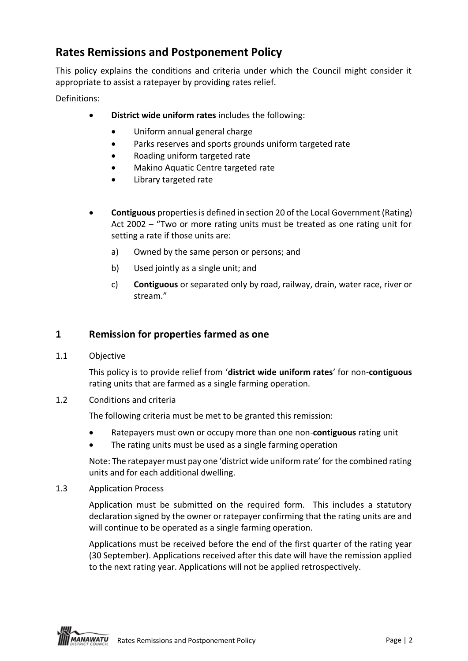# **Rates Remissions and Postponement Policy**

This policy explains the conditions and criteria under which the Council might consider it appropriate to assist a ratepayer by providing rates relief.

Definitions:

- **District wide uniform rates** includes the following:
	- Uniform annual general charge
	- Parks reserves and sports grounds uniform targeted rate
	- Roading uniform targeted rate
	- Makino Aquatic Centre targeted rate
	- Library targeted rate
- **Contiguous** propertiesis defined in section 20 of the Local Government (Rating) Act 2002 – "Two or more rating units must be treated as one rating unit for setting a rate if those units are:
	- a) Owned by the same person or persons; and
	- b) Used jointly as a single unit; and
	- c) **Contiguous** or separated only by road, railway, drain, water race, river or stream."

## **1 Remission for properties farmed as one**

1.1 Objective

This policy is to provide relief from '**district wide uniform rates**' for non-**contiguous** rating units that are farmed as a single farming operation.

1.2 Conditions and criteria

The following criteria must be met to be granted this remission:

- Ratepayers must own or occupy more than one non-**contiguous** rating unit
- The rating units must be used as a single farming operation

Note: The ratepayer must pay one 'district wide uniform rate' for the combined rating units and for each additional dwelling.

1.3 Application Process

Application must be submitted on the required form. This includes a statutory declaration signed by the owner or ratepayer confirming that the rating units are and will continue to be operated as a single farming operation.

Applications must be received before the end of the first quarter of the rating year (30 September). Applications received after this date will have the remission applied to the next rating year. Applications will not be applied retrospectively.

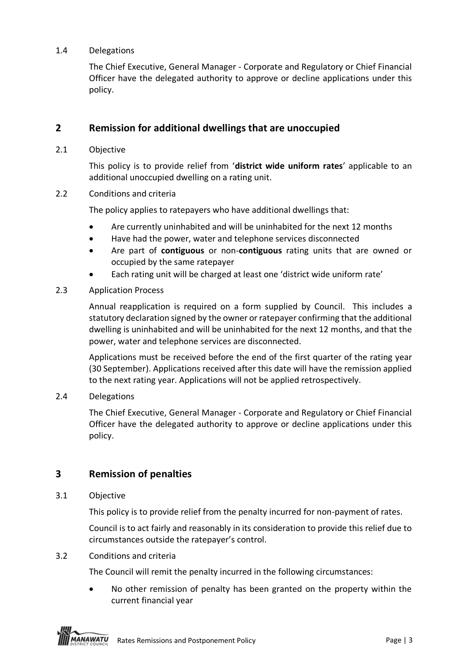#### 1.4 Delegations

The Chief Executive, General Manager - Corporate and Regulatory or Chief Financial Officer have the delegated authority to approve or decline applications under this policy.

## **2 Remission for additional dwellings that are unoccupied**

2.1 Objective

This policy is to provide relief from '**district wide uniform rates**' applicable to an additional unoccupied dwelling on a rating unit.

2.2 Conditions and criteria

The policy applies to ratepayers who have additional dwellings that:

- Are currently uninhabited and will be uninhabited for the next 12 months
- Have had the power, water and telephone services disconnected
- Are part of **contiguous** or non-**contiguous** rating units that are owned or occupied by the same ratepayer
- Each rating unit will be charged at least one 'district wide uniform rate'
- 2.3 Application Process

Annual reapplication is required on a form supplied by Council. This includes a statutory declaration signed by the owner or ratepayer confirming that the additional dwelling is uninhabited and will be uninhabited for the next 12 months, and that the power, water and telephone services are disconnected.

Applications must be received before the end of the first quarter of the rating year (30 September). Applications received after this date will have the remission applied to the next rating year. Applications will not be applied retrospectively.

2.4 Delegations

The Chief Executive, General Manager - Corporate and Regulatory or Chief Financial Officer have the delegated authority to approve or decline applications under this policy.

### **3 Remission of penalties**

3.1 Objective

This policy is to provide relief from the penalty incurred for non-payment of rates.

Council is to act fairly and reasonably in its consideration to provide this relief due to circumstances outside the ratepayer's control.

#### 3.2 Conditions and criteria

The Council will remit the penalty incurred in the following circumstances:

• No other remission of penalty has been granted on the property within the current financial year

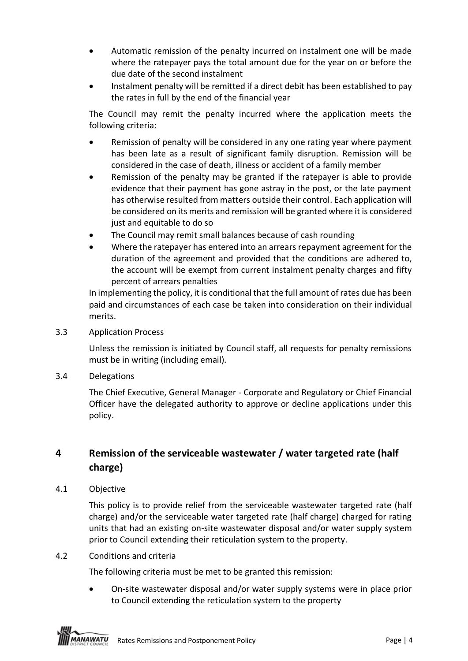- Automatic remission of the penalty incurred on instalment one will be made where the ratepayer pays the total amount due for the year on or before the due date of the second instalment
- Instalment penalty will be remitted if a direct debit has been established to pay the rates in full by the end of the financial year

The Council may remit the penalty incurred where the application meets the following criteria:

- Remission of penalty will be considered in any one rating year where payment has been late as a result of significant family disruption. Remission will be considered in the case of death, illness or accident of a family member
- Remission of the penalty may be granted if the ratepayer is able to provide evidence that their payment has gone astray in the post, or the late payment has otherwise resulted from matters outside their control. Each application will be considered on its merits and remission will be granted where it is considered just and equitable to do so
- The Council may remit small balances because of cash rounding
- Where the ratepayer has entered into an arrears repayment agreement for the duration of the agreement and provided that the conditions are adhered to, the account will be exempt from current instalment penalty charges and fifty percent of arrears penalties

In implementing the policy, it is conditional that the full amount of rates due has been paid and circumstances of each case be taken into consideration on their individual merits.

3.3 Application Process

Unless the remission is initiated by Council staff, all requests for penalty remissions must be in writing (including email).

3.4 Delegations

The Chief Executive, General Manager - Corporate and Regulatory or Chief Financial Officer have the delegated authority to approve or decline applications under this policy.

## **4 Remission of the serviceable wastewater / water targeted rate (half charge)**

4.1 Objective

This policy is to provide relief from the serviceable wastewater targeted rate (half charge) and/or the serviceable water targeted rate (half charge) charged for rating units that had an existing on-site wastewater disposal and/or water supply system prior to Council extending their reticulation system to the property.

4.2 Conditions and criteria

The following criteria must be met to be granted this remission:

• On-site wastewater disposal and/or water supply systems were in place prior to Council extending the reticulation system to the property

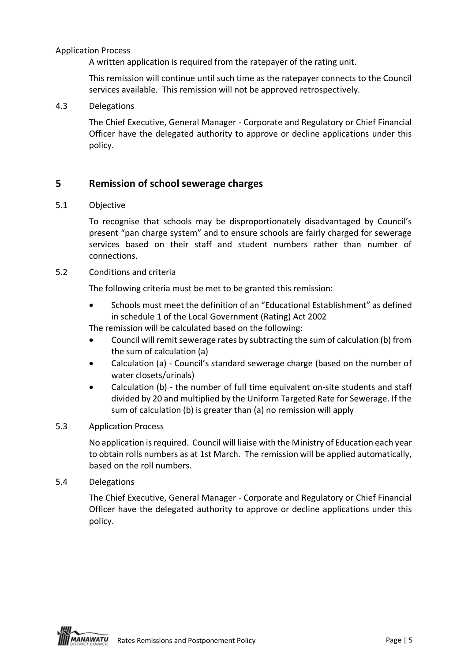#### Application Process

A written application is required from the ratepayer of the rating unit.

This remission will continue until such time as the ratepayer connects to the Council services available. This remission will not be approved retrospectively.

#### 4.3 Delegations

The Chief Executive, General Manager - Corporate and Regulatory or Chief Financial Officer have the delegated authority to approve or decline applications under this policy.

## **5 Remission of school sewerage charges**

#### 5.1 Objective

To recognise that schools may be disproportionately disadvantaged by Council's present "pan charge system" and to ensure schools are fairly charged for sewerage services based on their staff and student numbers rather than number of connections.

#### 5.2 Conditions and criteria

The following criteria must be met to be granted this remission:

• Schools must meet the definition of an "Educational Establishment" as defined in schedule 1 of the Local Government (Rating) Act 2002

The remission will be calculated based on the following:

- Council will remit sewerage rates by subtracting the sum of calculation (b) from the sum of calculation (a)
- Calculation (a) Council's standard sewerage charge (based on the number of water closets/urinals)
- Calculation (b) the number of full time equivalent on-site students and staff divided by 20 and multiplied by the Uniform Targeted Rate for Sewerage. If the sum of calculation (b) is greater than (a) no remission will apply

#### 5.3 Application Process

No application is required. Council will liaise with the Ministry of Education each year to obtain rolls numbers as at 1st March. The remission will be applied automatically, based on the roll numbers.

5.4 Delegations

The Chief Executive, General Manager - Corporate and Regulatory or Chief Financial Officer have the delegated authority to approve or decline applications under this policy.

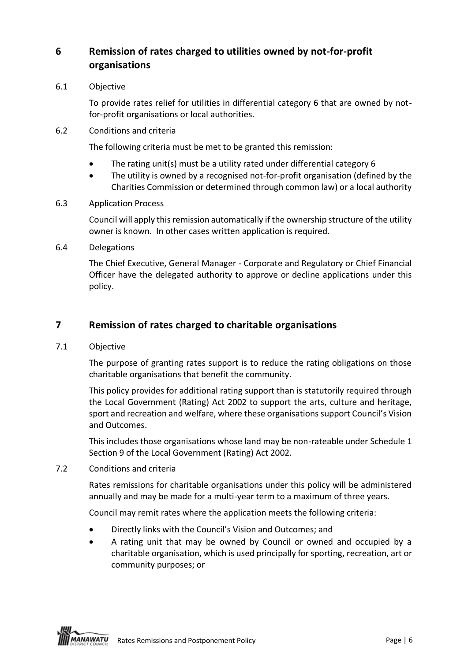## **6 Remission of rates charged to utilities owned by not-for-profit organisations**

6.1 Objective

To provide rates relief for utilities in differential category 6 that are owned by notfor-profit organisations or local authorities.

6.2 Conditions and criteria

The following criteria must be met to be granted this remission:

- The rating unit(s) must be a utility rated under differential category 6
- The utility is owned by a recognised not-for-profit organisation (defined by the Charities Commission or determined through common law) or a local authority
- 6.3 Application Process

Council will apply this remission automatically if the ownership structure of the utility owner is known. In other cases written application is required.

6.4 Delegations

The Chief Executive, General Manager - Corporate and Regulatory or Chief Financial Officer have the delegated authority to approve or decline applications under this policy.

## **7 Remission of rates charged to charitable organisations**

7.1 Objective

The purpose of granting rates support is to reduce the rating obligations on those charitable organisations that benefit the community.

This policy provides for additional rating support than is statutorily required through the Local Government (Rating) Act 2002 to support the arts, culture and heritage, sport and recreation and welfare, where these organisations support Council's Vision and Outcomes.

This includes those organisations whose land may be non-rateable under Schedule 1 Section 9 of the Local Government (Rating) Act 2002.

7.2 Conditions and criteria

Rates remissions for charitable organisations under this policy will be administered annually and may be made for a multi-year term to a maximum of three years.

Council may remit rates where the application meets the following criteria:

- Directly links with the Council's Vision and Outcomes; and
- A rating unit that may be owned by Council or owned and occupied by a charitable organisation, which is used principally for sporting, recreation, art or community purposes; or

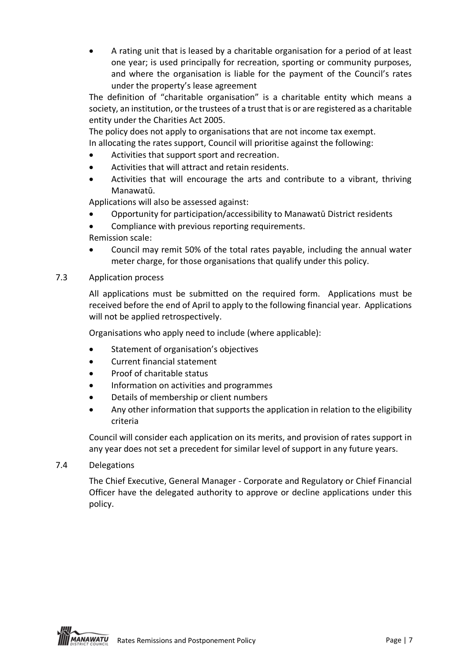• A rating unit that is leased by a charitable organisation for a period of at least one year; is used principally for recreation, sporting or community purposes, and where the organisation is liable for the payment of the Council's rates under the property's lease agreement

The definition of "charitable organisation" is a charitable entity which means a society, an institution, or the trustees of a trust that is or are registered as a charitable entity under the Charities Act 2005.

The policy does not apply to organisations that are not income tax exempt. In allocating the rates support, Council will prioritise against the following:

- Activities that support sport and recreation.
- Activities that will attract and retain residents.
- Activities that will encourage the arts and contribute to a vibrant, thriving Manawatū.

Applications will also be assessed against:

- Opportunity for participation/accessibility to Manawatū District residents
- Compliance with previous reporting requirements.

Remission scale:

- Council may remit 50% of the total rates payable, including the annual water meter charge, for those organisations that qualify under this policy.
- 7.3 Application process

All applications must be submitted on the required form. Applications must be received before the end of April to apply to the following financial year. Applications will not be applied retrospectively.

Organisations who apply need to include (where applicable):

- Statement of organisation's objectives
- Current financial statement
- Proof of charitable status
- Information on activities and programmes
- Details of membership or client numbers
- Any other information that supports the application in relation to the eligibility criteria

Council will consider each application on its merits, and provision of rates support in any year does not set a precedent for similar level of support in any future years.

7.4 Delegations

The Chief Executive, General Manager - Corporate and Regulatory or Chief Financial Officer have the delegated authority to approve or decline applications under this policy.

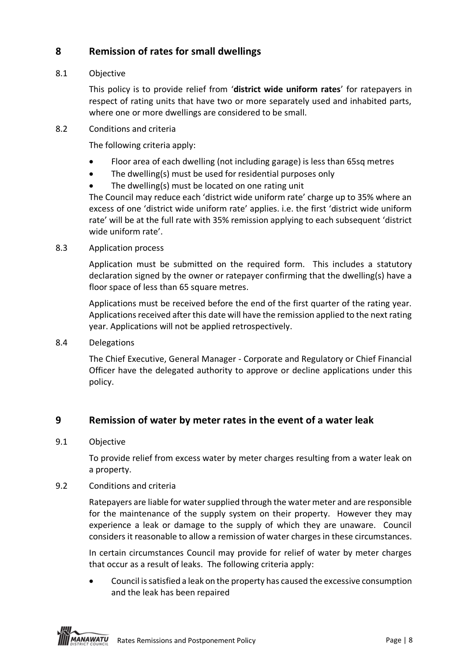## **8 Remission of rates for small dwellings**

### 8.1 Objective

This policy is to provide relief from '**district wide uniform rates**' for ratepayers in respect of rating units that have two or more separately used and inhabited parts, where one or more dwellings are considered to be small.

8.2 Conditions and criteria

The following criteria apply:

- Floor area of each dwelling (not including garage) is less than 65sq metres
- The dwelling(s) must be used for residential purposes only
- The dwelling(s) must be located on one rating unit

The Council may reduce each 'district wide uniform rate' charge up to 35% where an excess of one 'district wide uniform rate' applies. i.e. the first 'district wide uniform rate' will be at the full rate with 35% remission applying to each subsequent 'district wide uniform rate'.

#### 8.3 Application process

Application must be submitted on the required form. This includes a statutory declaration signed by the owner or ratepayer confirming that the dwelling(s) have a floor space of less than 65 square metres.

Applications must be received before the end of the first quarter of the rating year. Applications received after this date will have the remission applied to the next rating year. Applications will not be applied retrospectively.

8.4 Delegations

The Chief Executive, General Manager - Corporate and Regulatory or Chief Financial Officer have the delegated authority to approve or decline applications under this policy.

## **9 Remission of water by meter rates in the event of a water leak**

### 9.1 Objective

To provide relief from excess water by meter charges resulting from a water leak on a property.

### 9.2 Conditions and criteria

Ratepayers are liable for water supplied through the water meter and are responsible for the maintenance of the supply system on their property. However they may experience a leak or damage to the supply of which they are unaware. Council considers it reasonable to allow a remission of water charges in these circumstances.

In certain circumstances Council may provide for relief of water by meter charges that occur as a result of leaks. The following criteria apply:

• Council is satisfied a leak on the property has caused the excessive consumption and the leak has been repaired

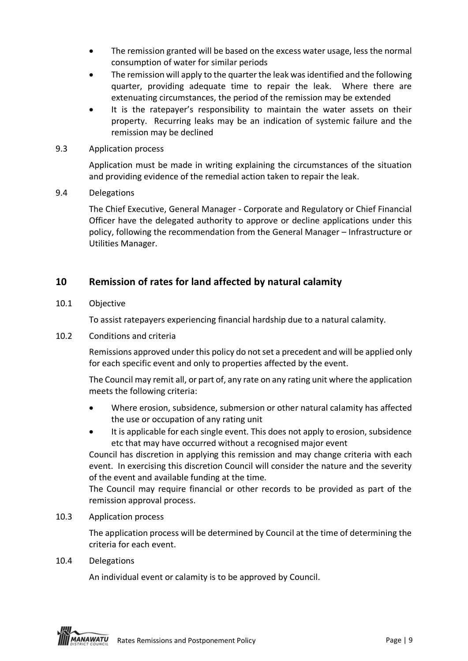- The remission granted will be based on the excess water usage, less the normal consumption of water for similar periods
- The remission will apply to the quarter the leak was identified and the following quarter, providing adequate time to repair the leak. Where there are extenuating circumstances, the period of the remission may be extended
- It is the ratepayer's responsibility to maintain the water assets on their property. Recurring leaks may be an indication of systemic failure and the remission may be declined
- 9.3 Application process

Application must be made in writing explaining the circumstances of the situation and providing evidence of the remedial action taken to repair the leak.

9.4 Delegations

The Chief Executive, General Manager - Corporate and Regulatory or Chief Financial Officer have the delegated authority to approve or decline applications under this policy, following the recommendation from the General Manager – Infrastructure or Utilities Manager.

## **10 Remission of rates for land affected by natural calamity**

10.1 Objective

To assist ratepayers experiencing financial hardship due to a natural calamity.

10.2 Conditions and criteria

Remissions approved under this policy do not set a precedent and will be applied only for each specific event and only to properties affected by the event.

The Council may remit all, or part of, any rate on any rating unit where the application meets the following criteria:

- Where erosion, subsidence, submersion or other natural calamity has affected the use or occupation of any rating unit
- It is applicable for each single event. This does not apply to erosion, subsidence etc that may have occurred without a recognised major event

Council has discretion in applying this remission and may change criteria with each event. In exercising this discretion Council will consider the nature and the severity of the event and available funding at the time.

The Council may require financial or other records to be provided as part of the remission approval process.

10.3 Application process

The application process will be determined by Council at the time of determining the criteria for each event.

#### 10.4 Delegations

An individual event or calamity is to be approved by Council.

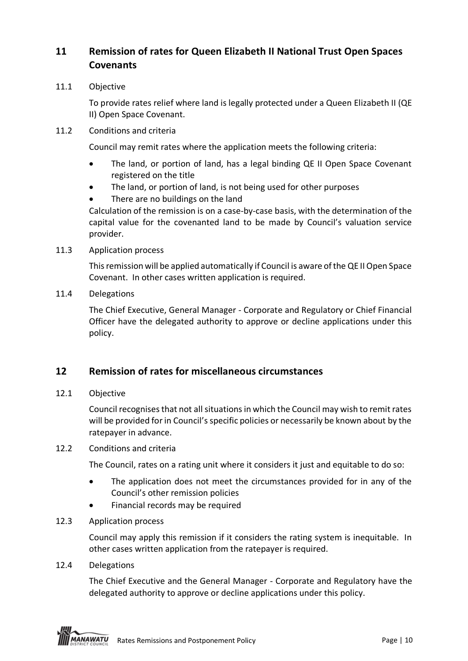## **11 Remission of rates for Queen Elizabeth II National Trust Open Spaces Covenants**

11.1 Objective

To provide rates relief where land is legally protected under a Queen Elizabeth II (QE II) Open Space Covenant.

11.2 Conditions and criteria

Council may remit rates where the application meets the following criteria:

- The land, or portion of land, has a legal binding QE II Open Space Covenant registered on the title
- The land, or portion of land, is not being used for other purposes
- There are no buildings on the land

Calculation of the remission is on a case-by-case basis, with the determination of the capital value for the covenanted land to be made by Council's valuation service provider.

11.3 Application process

This remission will be applied automatically if Council is aware of the QE II Open Space Covenant. In other cases written application is required.

11.4 Delegations

The Chief Executive, General Manager - Corporate and Regulatory or Chief Financial Officer have the delegated authority to approve or decline applications under this policy.

## **12 Remission of rates for miscellaneous circumstances**

12.1 Objective

Council recognises that not all situations in which the Council may wish to remit rates will be provided for in Council's specific policies or necessarily be known about by the ratepayer in advance.

#### 12.2 Conditions and criteria

The Council, rates on a rating unit where it considers it just and equitable to do so:

- The application does not meet the circumstances provided for in any of the Council's other remission policies
- Financial records may be required
- 12.3 Application process

Council may apply this remission if it considers the rating system is inequitable. In other cases written application from the ratepayer is required.

12.4 Delegations

The Chief Executive and the General Manager - Corporate and Regulatory have the delegated authority to approve or decline applications under this policy.